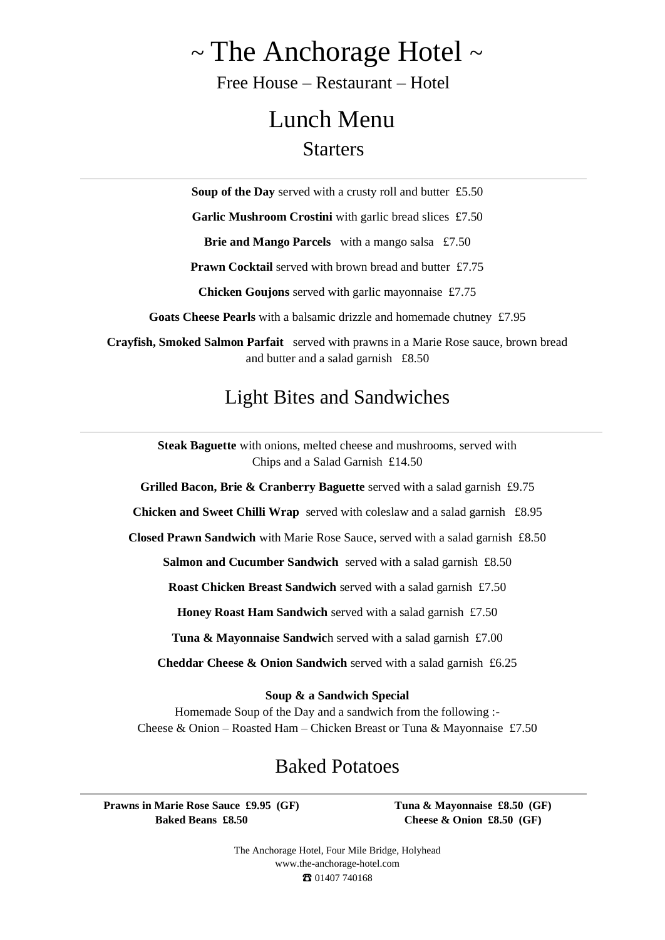# $\sim$  The Anchorage Hotel  $\sim$

Free House – Restaurant – Hotel

## Lunch Menu **Starters**

**Soup of the Day** served with a crusty roll and butter £5.50

Garlic Mushroom Crostini with garlic bread slices £7.50

**Brie and Mango Parcels** with a mango salsa £7.50

**Prawn Cocktail** served with brown bread and butter £7.75

**Chicken Goujons** served with garlic mayonnaise £7.75

**Goats Cheese Pearls** with a balsamic drizzle and homemade chutney£7.95

**Crayfish, Smoked Salmon Parfait** served with prawns in a Marie Rose sauce, brown bread and butter and a salad garnish £8.50

### Light Bites and Sandwiches

**Steak Baguette** with onions, melted cheese and mushrooms, served with Chips and a Salad Garnish £14.50

**Grilled Bacon, Brie & Cranberry Baguette** served with a salad garnish £9.75

**Chicken and Sweet Chilli Wrap** served with coleslaw and a salad garnish £8.95

**Closed Prawn Sandwich** with Marie Rose Sauce, served with a salad garnish £8.50

**Salmon and Cucumber Sandwich** served with a salad garnish £8.50

**Roast Chicken Breast Sandwich** served with a salad garnish £7.50

**Honey Roast Ham Sandwich** served with a salad garnish £7.50

**Tuna & Mayonnaise Sandwic**h served with a salad garnish £7.00

**Cheddar Cheese & Onion Sandwich** served with a salad garnish £6.25

#### **Soup & a Sandwich Special**

Homemade Soup of the Day and a sandwich from the following :- Cheese & Onion – Roasted Ham – Chicken Breast or Tuna & Mayonnaise £7.50

#### Baked Potatoes

**Prawns in Marie Rose Sauce £9.95 (GF) Baked Beans £8.50**

**Tuna & Mayonnaise £8.50 (GF) Cheese & Onion £8.50 (GF)**

The Anchorage Hotel, Four Mile Bridge, Holyhead [www.the-anchorage-hotel.com](http://www.the-anchorage-hotel.com/) ☎ 01407 740168